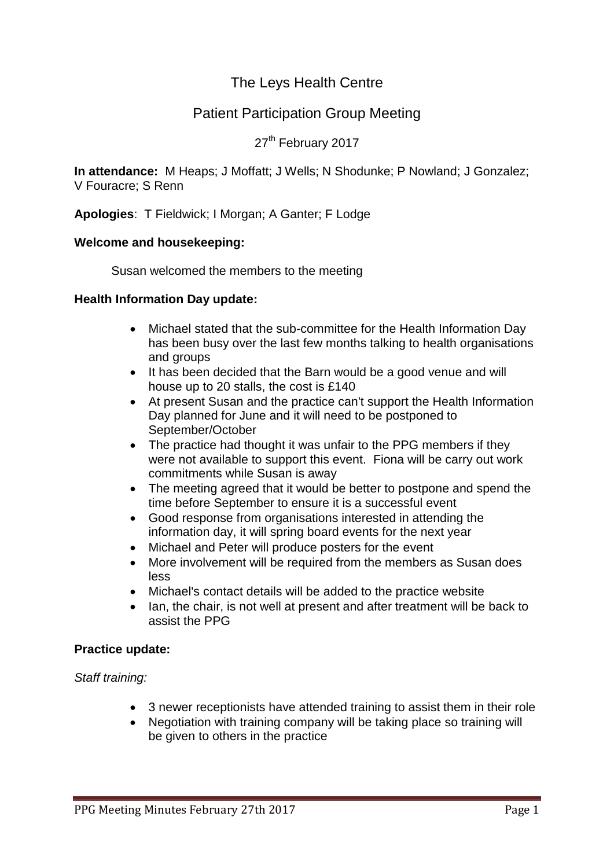# The Leys Health Centre

# Patient Participation Group Meeting

## 27<sup>th</sup> February 2017

**In attendance:** M Heaps; J Moffatt; J Wells; N Shodunke; P Nowland; J Gonzalez; V Fouracre; S Renn

**Apologies**: T Fieldwick; I Morgan; A Ganter; F Lodge

## **Welcome and housekeeping:**

Susan welcomed the members to the meeting

## **Health Information Day update:**

- Michael stated that the sub-committee for the Health Information Day has been busy over the last few months talking to health organisations and groups
- It has been decided that the Barn would be a good venue and will house up to 20 stalls, the cost is £140
- At present Susan and the practice can't support the Health Information Day planned for June and it will need to be postponed to September/October
- The practice had thought it was unfair to the PPG members if they were not available to support this event. Fiona will be carry out work commitments while Susan is away
- The meeting agreed that it would be better to postpone and spend the time before September to ensure it is a successful event
- Good response from organisations interested in attending the information day, it will spring board events for the next year
- Michael and Peter will produce posters for the event
- More involvement will be required from the members as Susan does less
- Michael's contact details will be added to the practice website
- Ian, the chair, is not well at present and after treatment will be back to assist the PPG

## **Practice update:**

*Staff training:*

- 3 newer receptionists have attended training to assist them in their role
- Negotiation with training company will be taking place so training will be given to others in the practice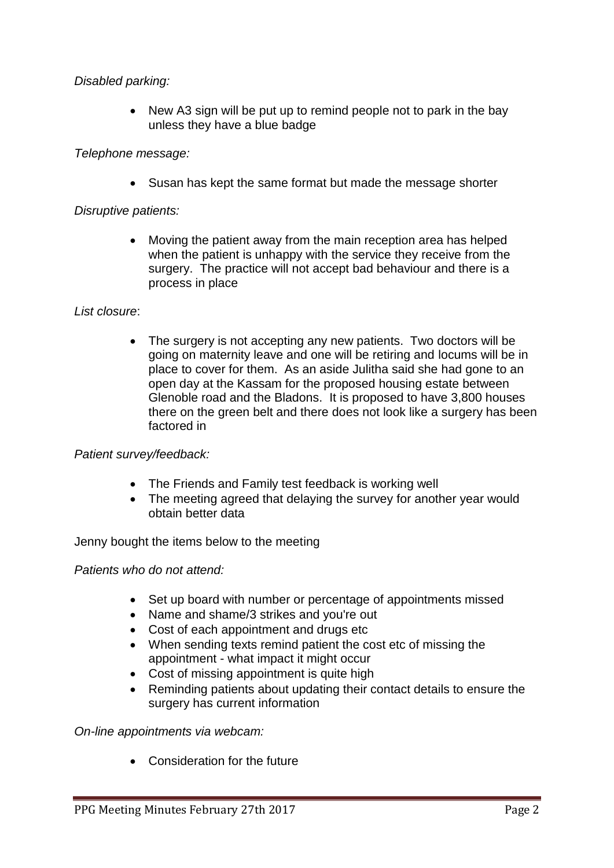## *Disabled parking:*

• New A3 sign will be put up to remind people not to park in the bay unless they have a blue badge

## *Telephone message:*

• Susan has kept the same format but made the message shorter

## *Disruptive patients:*

 Moving the patient away from the main reception area has helped when the patient is unhappy with the service they receive from the surgery. The practice will not accept bad behaviour and there is a process in place

## *List closure*:

• The surgery is not accepting any new patients. Two doctors will be going on maternity leave and one will be retiring and locums will be in place to cover for them. As an aside Julitha said she had gone to an open day at the Kassam for the proposed housing estate between Glenoble road and the Bladons. It is proposed to have 3,800 houses there on the green belt and there does not look like a surgery has been factored in

## *Patient survey/feedback:*

- The Friends and Family test feedback is working well
- The meeting agreed that delaying the survey for another year would obtain better data

Jenny bought the items below to the meeting

## *Patients who do not attend:*

- Set up board with number or percentage of appointments missed
- Name and shame/3 strikes and you're out
- Cost of each appointment and drugs etc
- When sending texts remind patient the cost etc of missing the appointment - what impact it might occur
- Cost of missing appointment is quite high
- Reminding patients about updating their contact details to ensure the surgery has current information

*On-line appointments via webcam:*

Consideration for the future